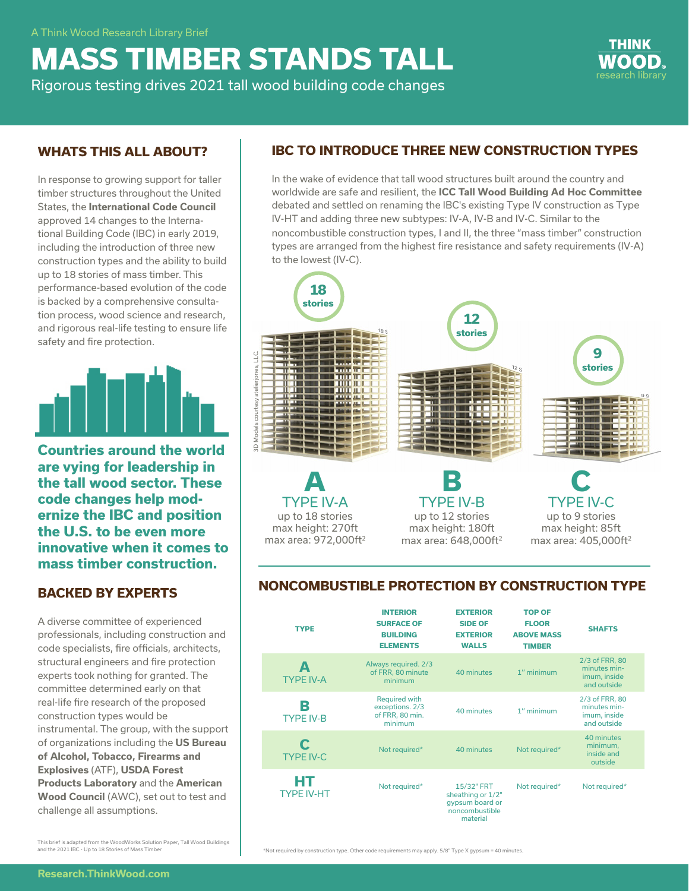# **MASS TIMBER STANDS TALL**

Rigorous testing drives 2021 tall wood building code changes



### **WHATS THIS ALL ABOUT?**

In response to growing support for taller timber structures throughout the United States, the **[International Code Council](https://www.iccsafe.org/)**  approved 14 changes to the International Building Code (IBC) in early 2019, including the introduction of three new construction types and the ability to build up to 18 stories of mass timber. This performance-based evolution of the code is backed by a comprehensive consultation process, wood science and research, and rigorous real-life testing to ensure life safety and fire protection.



**Countries around the world are vying for leadership in the tall wood sector. These code changes help modernize the IBC and position the U.S. to be even more innovative when it comes to mass timber construction.**

### **BACKED BY EXPERTS**

A diverse committee of experienced professionals, including construction and code specialists, fire officials, architects, structural engineers and fire protection experts took nothing for granted. The committee determined early on that real-life fire research of the proposed construction types would be instrumental. The group, with the support of organizations including the **US Bureau [of Alcohol, Tobacco, Firearms and](https://www.atf.gov/)  Explosives** (ATF), **USDA Fo[rest](https://www.fpl.fs.fed.us/)  [Products Laboratory](https://www.fpl.fs.fed.us/)** and the **[American](https://www.awc.org/)  [Wood Council](https://www.awc.org/)** (AWC), set out to test and challenge all assumptions.

### **IBC TO INTRODUCE THREE NEW CONSTRUCTION TYPES**

In the wake of evidence that tall wood structures built around the country and worldwide are safe and resilient, the **[ICC Tall Wood Building Ad Hoc Committee](https://www.iccsafe.org/codes-tech-support/cs/icc-ad-hoc-committee-on-tall-wood-buildings/)**  debated and settled on renaming the IBC's existing Type IV construction as Type IV-HT and adding three new subtypes: IV-A, IV-B and IV-C. Similar to the noncombustible construction types, I and II, the three "mass timber" construction types are arranged from the highest fire resistance and safety requirements (IV-A) to the lowest (IV-C).



### **NONCOMBUSTIBLE PROTECTION BY CONSTRUCTION TYPE**

| <b>TYPE</b>             | <b>INTERIOR</b><br><b>SURFACE OF</b><br><b>BUILDING</b><br><b>ELEMENTS</b> | <b>EXTERIOR</b><br><b>SIDE OF</b><br><b>EXTERIOR</b><br><b>WALLS</b>             | <b>TOP OF</b><br><b>FLOOR</b><br><b>ABOVE MASS</b><br><b>TIMBER</b> | <b>SHAFTS</b>                                                 |
|-------------------------|----------------------------------------------------------------------------|----------------------------------------------------------------------------------|---------------------------------------------------------------------|---------------------------------------------------------------|
| A<br><b>TYPE IV-A</b>   | Always required. 2/3<br>of FRR, 80 minute<br>minimum                       | 40 minutes                                                                       | $1$ " minimum                                                       | 2/3 of FRR, 80<br>minutes min-<br>imum, inside<br>and outside |
| R<br><b>TYPE IV-B</b>   | <b>Required with</b><br>exceptions. 2/3<br>of FRR, 80 min.<br>minimum      | 40 minutes                                                                       | $1$ " minimum                                                       | 2/3 of FRR, 80<br>minutes min-<br>imum, inside<br>and outside |
| <b>TYPE IV-C</b>        | Not required*                                                              | 40 minutes                                                                       | Not required*                                                       | 40 minutes<br>minimum,<br>inside and<br>outside               |
| HТ<br><b>TYPE IV-HT</b> | Not required*                                                              | 15/32" FRT<br>sheathing or 1/2"<br>gypsum board or<br>noncombustible<br>material | Not required*                                                       | Not required*                                                 |

\*Not required by construction type. Other code requirements may apply. 5/8" Type X gypsum = 40 minutes.

This brief is adapted from the WoodWorks Solution Paper, Tall Wood Buildings and the 2021 IBC - Up to 18 Stories of Mass Timb